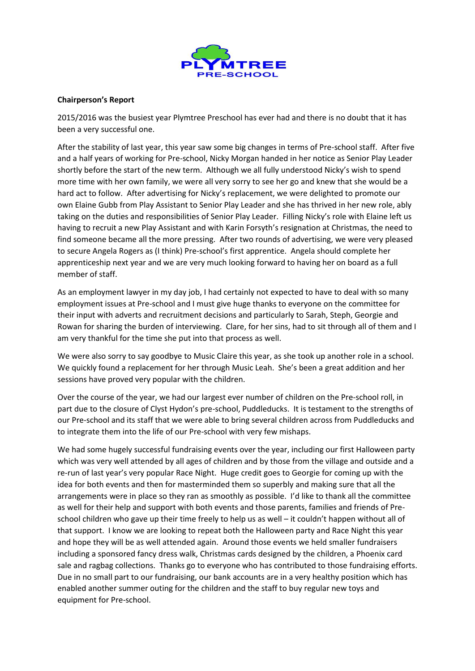

## **Chairperson's Report**

2015/2016 was the busiest year Plymtree Preschool has ever had and there is no doubt that it has been a very successful one.

After the stability of last year, this year saw some big changes in terms of Pre-school staff. After five and a half years of working for Pre-school, Nicky Morgan handed in her notice as Senior Play Leader shortly before the start of the new term. Although we all fully understood Nicky's wish to spend more time with her own family, we were all very sorry to see her go and knew that she would be a hard act to follow. After advertising for Nicky's replacement, we were delighted to promote our own Elaine Gubb from Play Assistant to Senior Play Leader and she has thrived in her new role, ably taking on the duties and responsibilities of Senior Play Leader. Filling Nicky's role with Elaine left us having to recruit a new Play Assistant and with Karin Forsyth's resignation at Christmas, the need to find someone became all the more pressing. After two rounds of advertising, we were very pleased to secure Angela Rogers as (I think) Pre-school's first apprentice. Angela should complete her apprenticeship next year and we are very much looking forward to having her on board as a full member of staff.

As an employment lawyer in my day job, I had certainly not expected to have to deal with so many employment issues at Pre-school and I must give huge thanks to everyone on the committee for their input with adverts and recruitment decisions and particularly to Sarah, Steph, Georgie and Rowan for sharing the burden of interviewing. Clare, for her sins, had to sit through all of them and I am very thankful for the time she put into that process as well.

We were also sorry to say goodbye to Music Claire this year, as she took up another role in a school. We quickly found a replacement for her through Music Leah. She's been a great addition and her sessions have proved very popular with the children.

Over the course of the year, we had our largest ever number of children on the Pre-school roll, in part due to the closure of Clyst Hydon's pre-school, Puddleducks. It is testament to the strengths of our Pre-school and its staff that we were able to bring several children across from Puddleducks and to integrate them into the life of our Pre-school with very few mishaps.

We had some hugely successful fundraising events over the year, including our first Halloween party which was very well attended by all ages of children and by those from the village and outside and a re-run of last year's very popular Race Night. Huge credit goes to Georgie for coming up with the idea for both events and then for masterminded them so superbly and making sure that all the arrangements were in place so they ran as smoothly as possible. I'd like to thank all the committee as well for their help and support with both events and those parents, families and friends of Preschool children who gave up their time freely to help us as well – it couldn't happen without all of that support. I know we are looking to repeat both the Halloween party and Race Night this year and hope they will be as well attended again. Around those events we held smaller fundraisers including a sponsored fancy dress walk, Christmas cards designed by the children, a Phoenix card sale and ragbag collections. Thanks go to everyone who has contributed to those fundraising efforts. Due in no small part to our fundraising, our bank accounts are in a very healthy position which has enabled another summer outing for the children and the staff to buy regular new toys and equipment for Pre-school.